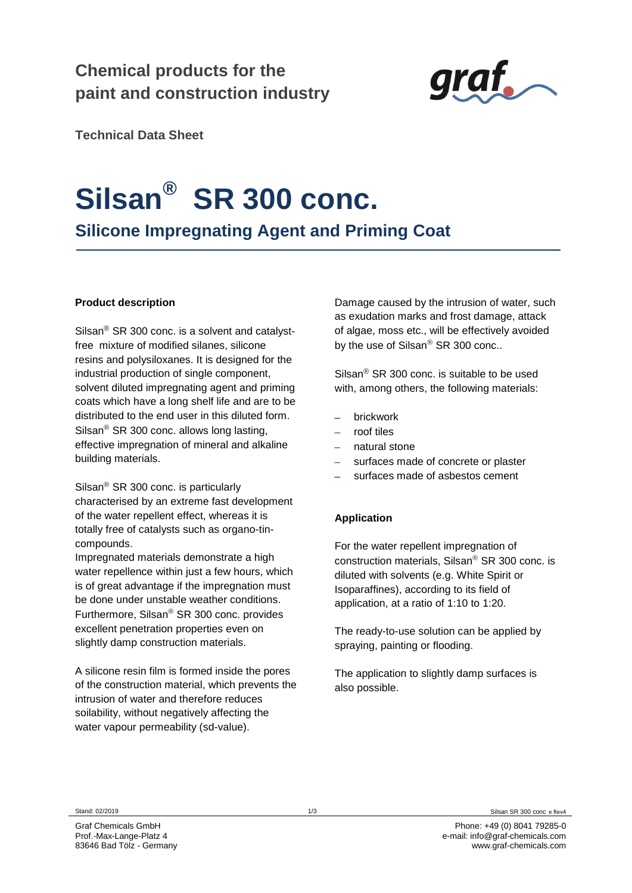# **Chemical products for the paint and construction industry**



**Technical Data Sheet**

# **Silsan® SR 300 conc.**

**Silicone Impregnating Agent and Priming Coat**

## **Product description**

Silsan $^{\circledR}$  SR 300 conc. is a solvent and catalystfree mixture of modified silanes, silicone resins and polysiloxanes. It is designed for the industrial production of single component, solvent diluted impregnating agent and priming coats which have a long shelf life and are to be distributed to the end user in this diluted form. Silsan<sup>®</sup> SR 300 conc. allows long lasting, effective impregnation of mineral and alkaline building materials.

Silsan $^{\circledR}$  SR 300 conc. is particularly characterised by an extreme fast development of the water repellent effect, whereas it is totally free of catalysts such as organo-tincompounds.

Impregnated materials demonstrate a high water repellence within just a few hours, which is of great advantage if the impregnation must be done under unstable weather conditions. Furthermore, Silsan<sup>®</sup> SR 300 conc. provides excellent penetration properties even on slightly damp construction materials.

A silicone resin film is formed inside the pores of the construction material, which prevents the intrusion of water and therefore reduces soilability, without negatively affecting the water vapour permeability (sd-value).

Damage caused by the intrusion of water, such as exudation marks and frost damage, attack of algae, moss etc., will be effectively avoided by the use of Silsan $^{\circ}$  SR 300 conc..

Silsan $^{\circ}$  SR 300 conc. is suitable to be used with, among others, the following materials:

- brickwork
- roof tiles
- natural stone
- surfaces made of concrete or plaster
- surfaces made of asbestos cement

## **Application**

For the water repellent impregnation of construction materials, Silsan $\textdegree$  SR 300 conc. is diluted with solvents (e.g. White Spirit or Isoparaffines), according to its field of application, at a ratio of 1:10 to 1:20.

The ready-to-use solution can be applied by spraying, painting or flooding.

The application to slightly damp surfaces is also possible.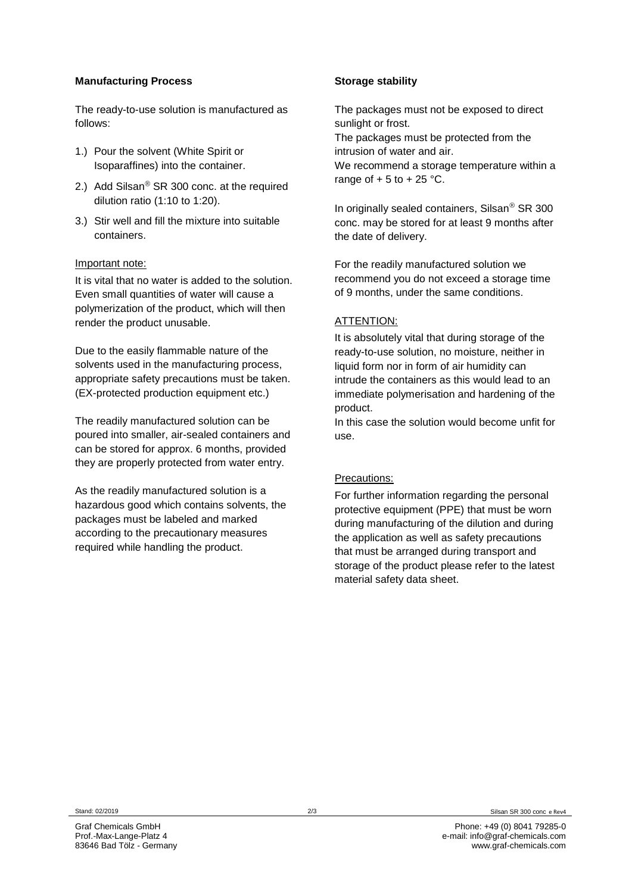#### **Manufacturing Process**

The ready-to-use solution is manufactured as follows:

- 1.) Pour the solvent (White Spirit or Isoparaffines) into the container.
- 2.) Add Silsan<sup>®</sup> SR 300 conc. at the required dilution ratio (1:10 to 1:20).
- 3.) Stir well and fill the mixture into suitable containers.

#### Important note:

It is vital that no water is added to the solution. Even small quantities of water will cause a polymerization of the product, which will then render the product unusable.

Due to the easily flammable nature of the solvents used in the manufacturing process, appropriate safety precautions must be taken. (EX-protected production equipment etc.)

The readily manufactured solution can be poured into smaller, air-sealed containers and can be stored for approx. 6 months, provided they are properly protected from water entry.

As the readily manufactured solution is a hazardous good which contains solvents, the packages must be labeled and marked according to the precautionary measures required while handling the product.

#### **Storage stability**

The packages must not be exposed to direct sunlight or frost. The packages must be protected from the intrusion of water and air. We recommend a storage temperature within a

range of  $+5$  to  $+25$  °C.

In originally sealed containers, Silsan $\textdegree$  SR 300 conc. may be stored for at least 9 months after the date of delivery.

For the readily manufactured solution we recommend you do not exceed a storage time of 9 months, under the same conditions.

#### ATTENTION:

It is absolutely vital that during storage of the ready-to-use solution, no moisture, neither in liquid form nor in form of air humidity can intrude the containers as this would lead to an immediate polymerisation and hardening of the product.

In this case the solution would become unfit for use.

#### Precautions:

For further information regarding the personal protective equipment (PPE) that must be worn during manufacturing of the dilution and during the application as well as safety precautions that must be arranged during transport and storage of the product please refer to the latest material safety data sheet.